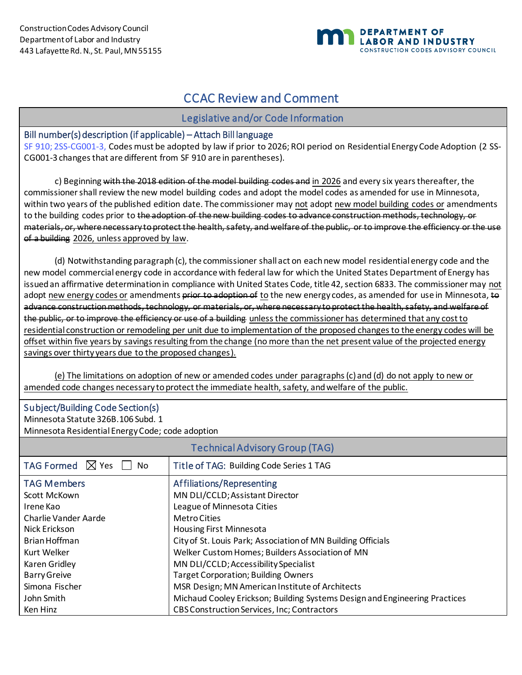Ken Hinz



# CCAC Review and Comment

## Legislative and/or Code Information

#### Bill number(s) description (if applicable) – Attach Bill language

[SF 910;](https://www.revisor.mn.gov/bills/text.php?number=SF910&version=latest&session=ls92&session_year=2021&session_number=0) [2SS-CG001-3,](https://drive.google.com/drive/folders/1V8E-qOqEU1NbwRbtuvci-mppuQi_kdAj) Codes must be adopted by law if prior to 2026; ROI period on Residential Energy Code Adoption (2 SS-CG001-3 changes that are different from SF 910 are in parentheses).

c) Beginning with the 2018 edition of the model building codes and in 2026 and every six years thereafter, the commissioner shall review the new model building codes and adopt the model codes as amended for use in Minnesota, within two years of the published edition date. The commissioner may not adopt new model building codes or amendments to the building codes prior to the adoption of the new building codes to advance construction methods, technology, or materials, or, where necessary to protect the health, safety, and welfare of the public, or to improve the efficiency or the use of a building 2026, unless approved by law.

(d) Notwithstanding paragraph (c), the commissioner shall act on each new model residential energy code and the new model commercial energy code in accordance with federal law for which the United States Department of Energy has issued an affirmative determination in compliance with United States Code, title 42, section 6833. The commissioner may not adopt new energy codes or amendments prior to adoption of to the new energy codes, as amended for use in Minnesota, to advance construction methods, technology, or materials, or, where necessary to protect the health, safety, and welfare of the public, or to improve the efficiency or use of a building unless the commissioner has determined that any cost to residential construction or remodeling per unit due to implementation of the proposed changes to the energy codes will be offset within five years by savings resulting from the change (no more than the net present value of the projected energy savings over thirty years due to the proposed changes).

(e) The limitations on adoption of new or amended codes under paragraphs (c) and (d) do not apply to new or amended code changes necessary to protect the immediate health, safety, and welfare of the public.

| <b>Subject/Building Code Section(s)</b><br>Minnesota Statute 326B.106 Subd. 1<br>Minnesota Residential Energy Code; code adoption |                                                                            |  |  |  |
|-----------------------------------------------------------------------------------------------------------------------------------|----------------------------------------------------------------------------|--|--|--|
| <b>Technical Advisory Group (TAG)</b>                                                                                             |                                                                            |  |  |  |
| TAG Formed $\boxtimes$ Yes<br><b>No</b>                                                                                           | Title of TAG: Building Code Series 1 TAG                                   |  |  |  |
| <b>TAG Members</b>                                                                                                                | Affiliations/Representing                                                  |  |  |  |
| Scott McKown                                                                                                                      | MN DLI/CCLD; Assistant Director                                            |  |  |  |
| Irene Kao                                                                                                                         | League of Minnesota Cities                                                 |  |  |  |
| Charlie Vander Aarde                                                                                                              | <b>MetroCities</b>                                                         |  |  |  |
| Nick Erickson                                                                                                                     | <b>Housing First Minnesota</b>                                             |  |  |  |
| Brian Hoffman                                                                                                                     | City of St. Louis Park; Association of MN Building Officials               |  |  |  |
| Kurt Welker                                                                                                                       | Welker Custom Homes; Builders Association of MN                            |  |  |  |
| Karen Gridley                                                                                                                     | MN DLI/CCLD; Accessibility Specialist                                      |  |  |  |
| <b>Barry Greive</b>                                                                                                               | <b>Target Corporation; Building Owners</b>                                 |  |  |  |
| Simona Fischer                                                                                                                    | MSR Design; MN American Institute of Architects                            |  |  |  |
| John Smith                                                                                                                        | Michaud Cooley Erickson; Building Systems Design and Engineering Practices |  |  |  |

CBS Construction Services, Inc; Contractors